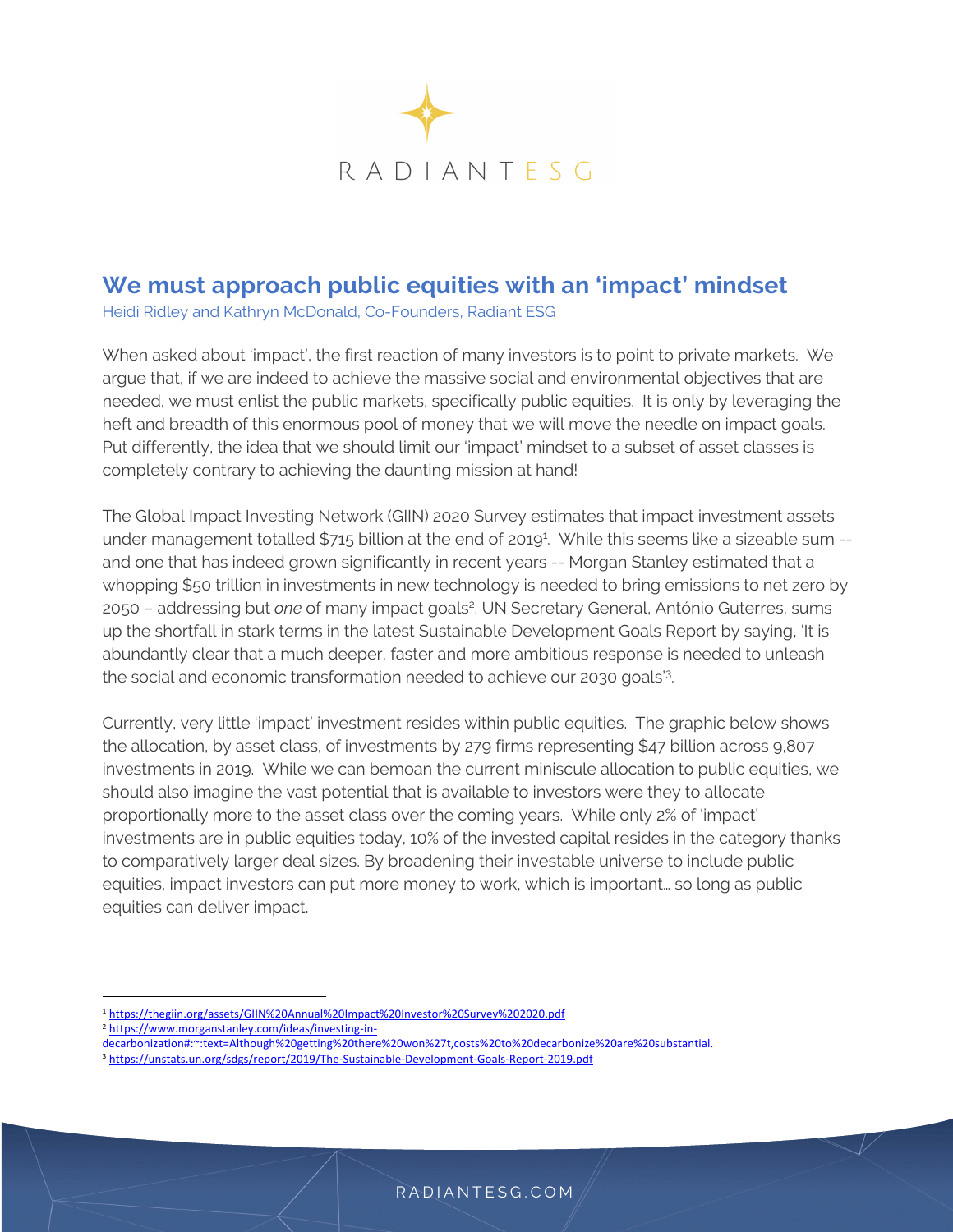

# **We must approach public equities with an 'impact' mindset**

Heidi Ridley and Kathryn McDonald, Co-Founders, Radiant ESG

When asked about 'impact', the first reaction of many investors is to point to private markets. We argue that, if we are indeed to achieve the massive social and environmental objectives that are needed, we must enlist the public markets, specifically public equities. It is only by leveraging the heft and breadth of this enormous pool of money that we will move the needle on impact goals. Put differently, the idea that we should limit our 'impact' mindset to a subset of asset classes is completely contrary to achieving the daunting mission at hand!

The Global Impact Investing Network (GIIN) 2020 Survey estimates that impact investment assets under management totalled \$715 billion at the end of 2019<sup>1</sup>. While this seems like a sizeable sum -and one that has indeed grown significantly in recent years -- Morgan Stanley estimated that a whopping \$50 trillion in investments in new technology is needed to bring emissions to net zero by 2050 - addressing but *one* of many impact goals<sup>2</sup>. UN Secretary General, António Guterres, sums up the shortfall in stark terms in the latest Sustainable Development Goals Report by saying, 'It is abundantly clear that a much deeper, faster and more ambitious response is needed to unleash the social and economic transformation needed to achieve our 2030 goals'3 .

Currently, very little 'impact' investment resides within public equities. The graphic below shows the allocation, by asset class, of investments by 279 firms representing \$47 billion across 9,807 investments in 2019. While we can bemoan the current miniscule allocation to public equities, we should also imagine the vast potential that is available to investors were they to allocate proportionally more to the asset class over the coming years. While only 2% of 'impact' investments are in public equities today, 10% of the invested capital resides in the category thanks to comparatively larger deal sizes. By broadening their investable universe to include public equities, impact investors can put more money to work, which is important… so long as public equities can deliver impact.

<sup>3</sup> https://unstats.un.org/sdgs/report/2019/The-Sustainable-Development-Goals-Report-2019.pdf

<sup>1</sup> https://thegiin.org/assets/GIIN%20Annual%20Impact%20Investor%20Survey%202020.pdf

<sup>2</sup> https://www.morganstanley.com/ideas/investing-in-

decarbonization#:~:text=Although%20getting%20there%20won%27t,costs%20to%20decarbonize%20are%20substantial.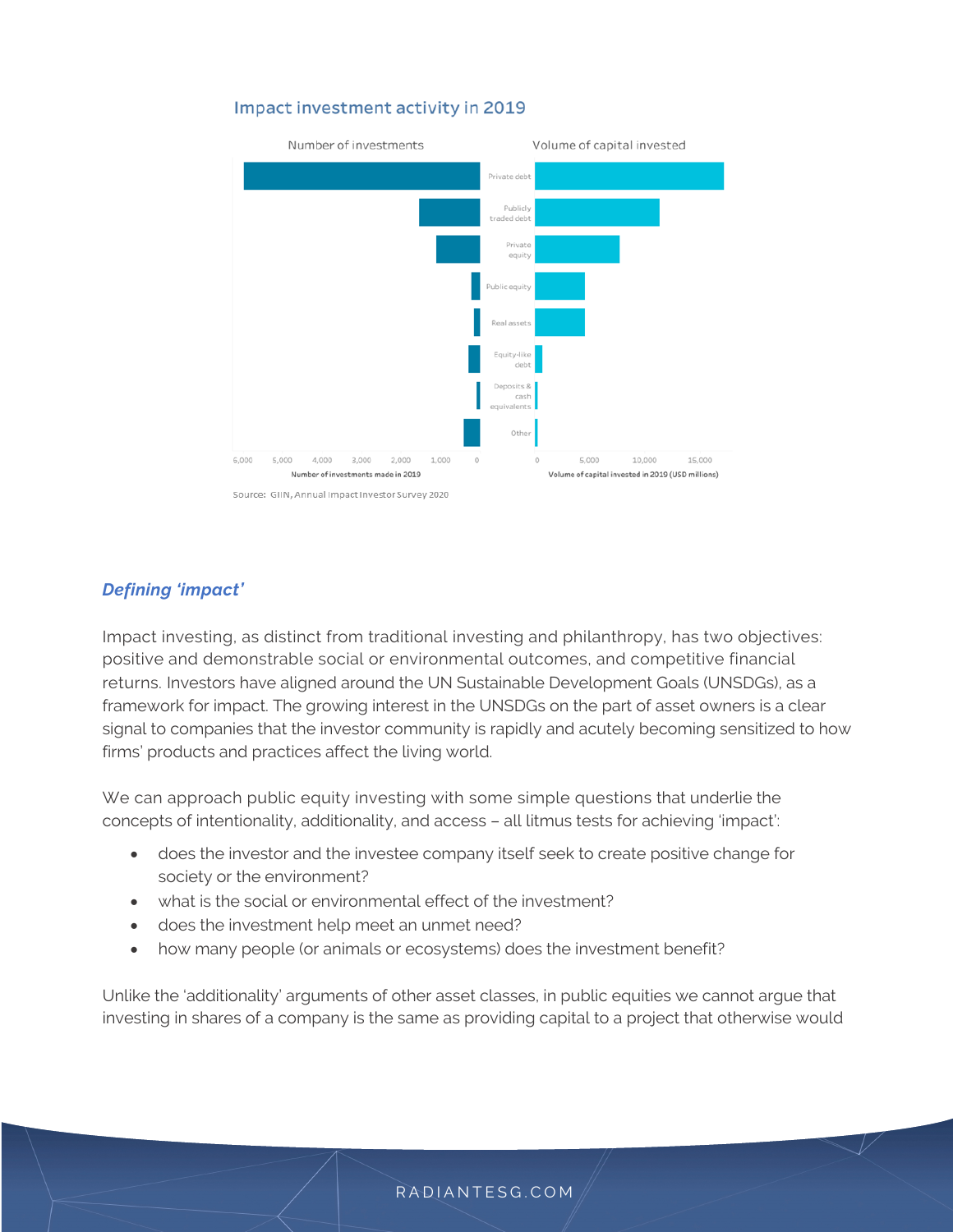#### Impact investment activity in 2019



#### *Defining 'impact'*

Impact investing, as distinct from traditional investing and philanthropy, has two objectives: positive and demonstrable social or environmental outcomes, and competitive financial returns. Investors have aligned around the UN Sustainable Development Goals (UNSDGs), as a framework for impact. The growing interest in the UNSDGs on the part of asset owners is a clear signal to companies that the investor community is rapidly and acutely becoming sensitized to how firms' products and practices affect the living world.

We can approach public equity investing with some simple questions that underlie the concepts of intentionality, additionality, and access – all litmus tests for achieving 'impact':

- does the investor and the investee company itself seek to create positive change for society or the environment?
- what is the social or environmental effect of the investment?
- does the investment help meet an unmet need?
- how many people (or animals or ecosystems) does the investment benefit?

Unlike the 'additionality' arguments of other asset classes, in public equities we cannot argue that investing in shares of a company is the same as providing capital to a project that otherwise would

#### RADIANTESG.COM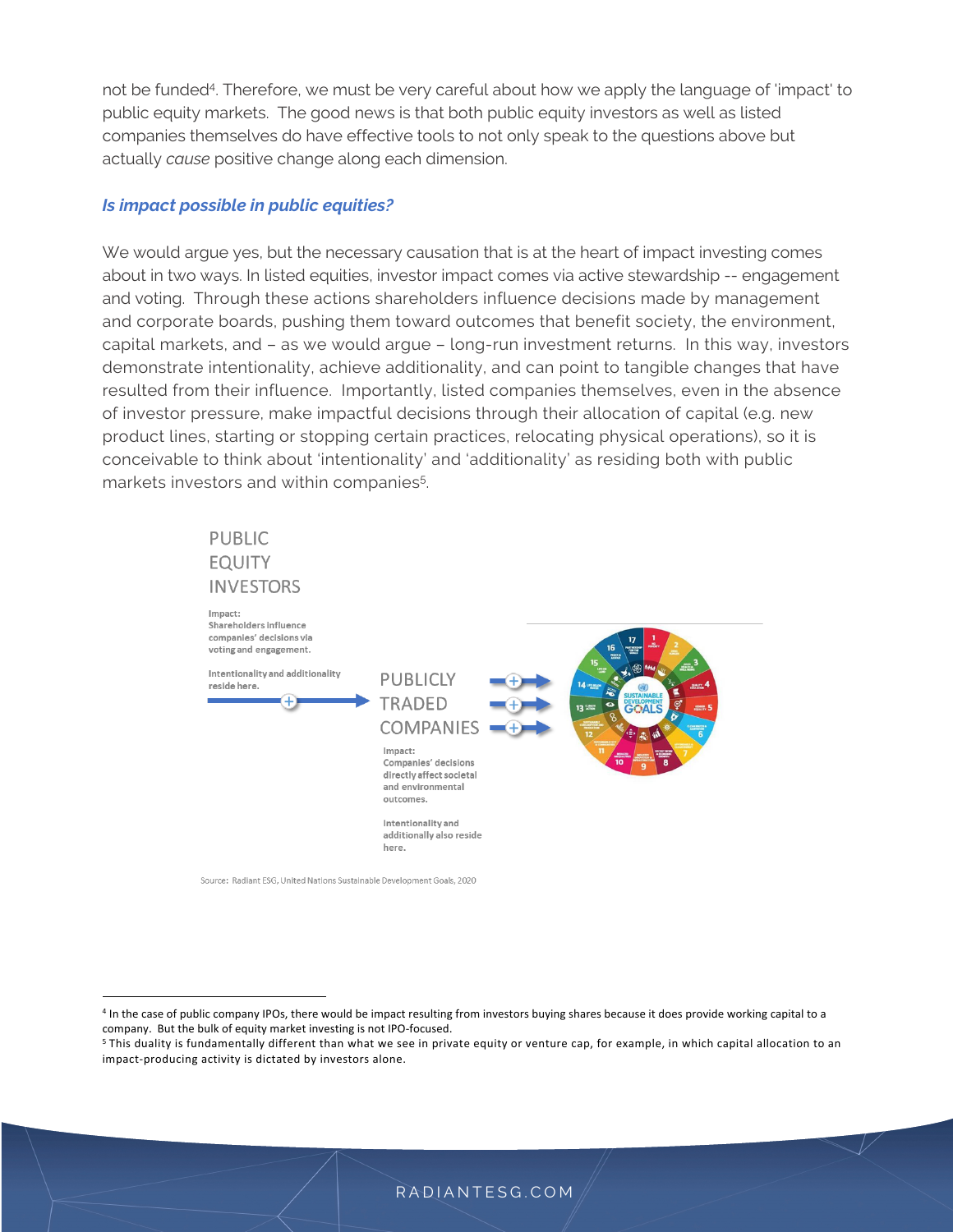not be funded4. Therefore, we must be very careful about how we apply the language of 'impact' to public equity markets. The good news is that both public equity investors as well as listed companies themselves do have effective tools to not only speak to the questions above but actually *cause* positive change along each dimension.

#### *Is impact possible in public equities?*

We would argue yes, but the necessary causation that is at the heart of impact investing comes about in two ways. In listed equities, investor impact comes via active stewardship -- engagement and voting. Through these actions shareholders influence decisions made by management and corporate boards, pushing them toward outcomes that benefit society, the environment, capital markets, and – as we would argue – long-run investment returns. In this way, investors demonstrate intentionality, achieve additionality, and can point to tangible changes that have resulted from their influence. Importantly, listed companies themselves, even in the absence of investor pressure, make impactful decisions through their allocation of capital (e.g. new product lines, starting or stopping certain practices, relocating physical operations), so it is conceivable to think about 'intentionality' and 'additionality' as residing both with public markets investors and within companies<sup>5</sup>.

# **PUBLIC EQUITY INVESTORS**

Impact: Shareholders influence companies' decisions via voting and engagement. Intentionality and additionality **PUBLICIY** reside here. **TRADED** COMPANIES Impact: Companies' decisions directly affect societal and environmental outcomes. Intentionality and additionally also reside here.

Source: Radiant ESG, United Nations Sustainable Development Goals, 2020

<sup>4</sup> In the case of public company IPOs, there would be impact resulting from investors buying shares because it does provide working capital to a company. But the bulk of equity market investing is not IPO-focused.

<sup>5</sup> This duality is fundamentally different than what we see in private equity or venture cap, for example, in which capital allocation to an impact-producing activity is dictated by investors alone.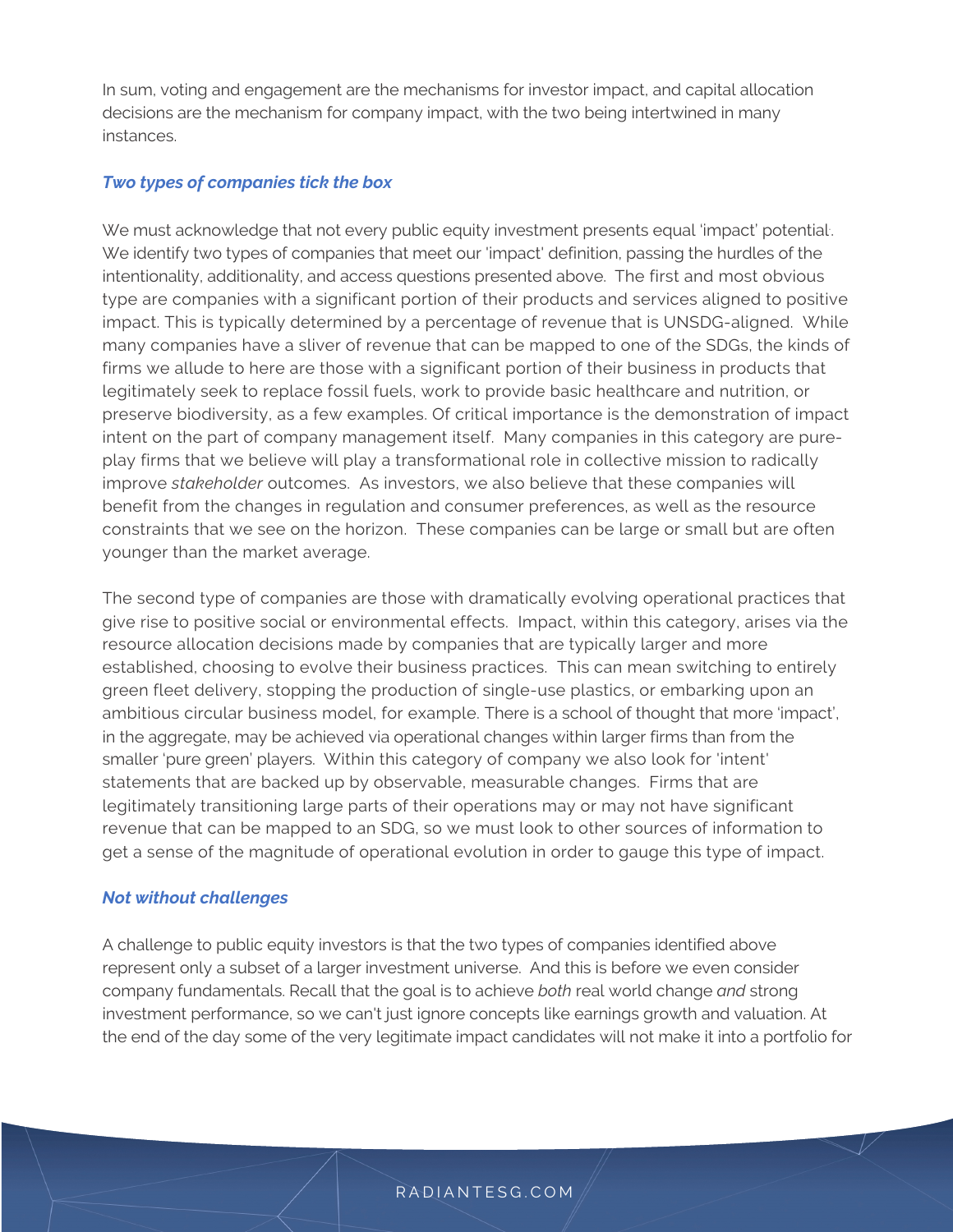In sum, voting and engagement are the mechanisms for investor impact, and capital allocation decisions are the mechanism for company impact, with the two being intertwined in many instances.

## *Two types of companies tick the box*

We must acknowledge that not every public equity investment presents equal 'impact' potential. . We identify two types of companies that meet our 'impact' definition, passing the hurdles of the intentionality, additionality, and access questions presented above. The first and most obvious type are companies with a significant portion of their products and services aligned to positive impact. This is typically determined by a percentage of revenue that is UNSDG-aligned. While many companies have a sliver of revenue that can be mapped to one of the SDGs, the kinds of firms we allude to here are those with a significant portion of their business in products that legitimately seek to replace fossil fuels, work to provide basic healthcare and nutrition, or preserve biodiversity, as a few examples. Of critical importance is the demonstration of impact intent on the part of company management itself. Many companies in this category are pureplay firms that we believe will play a transformational role in collective mission to radically improve *stakeholder* outcomes. As investors, we also believe that these companies will benefit from the changes in regulation and consumer preferences, as well as the resource constraints that we see on the horizon. These companies can be large or small but are often younger than the market average.

The second type of companies are those with dramatically evolving operational practices that give rise to positive social or environmental effects. Impact, within this category, arises via the resource allocation decisions made by companies that are typically larger and more established, choosing to evolve their business practices. This can mean switching to entirely green fleet delivery, stopping the production of single-use plastics, or embarking upon an ambitious circular business model, for example. There is a school of thought that more 'impact', in the aggregate, may be achieved via operational changes within larger firms than from the smaller 'pure green' players. Within this category of company we also look for 'intent' statements that are backed up by observable, measurable changes. Firms that are legitimately transitioning large parts of their operations may or may not have significant revenue that can be mapped to an SDG, so we must look to other sources of information to get a sense of the magnitude of operational evolution in order to gauge this type of impact.

#### *Not without challenges*

A challenge to public equity investors is that the two types of companies identified above represent only a subset of a larger investment universe. And this is before we even consider company fundamentals. Recall that the goal is to achieve *both* real world change *and* strong investment performance, so we can't just ignore concepts like earnings growth and valuation. At the end of the day some of the very legitimate impact candidates will not make it into a portfolio for